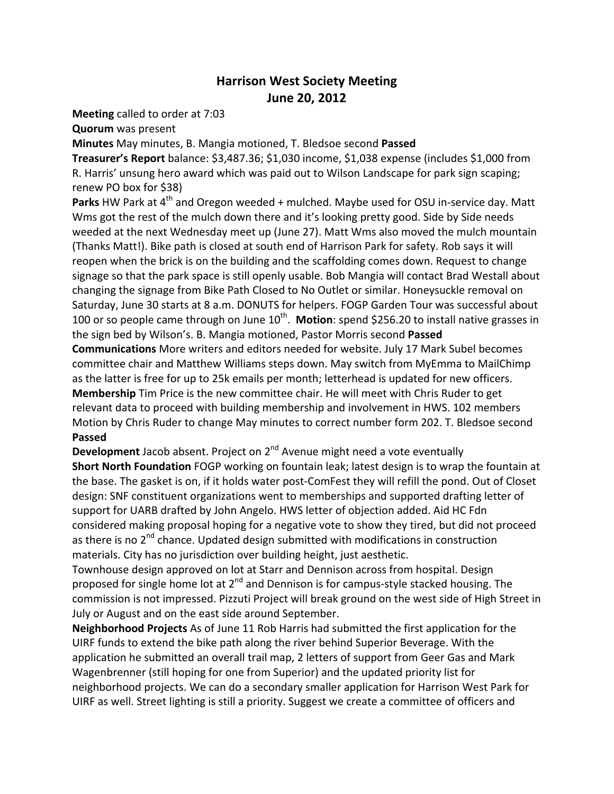## **Harrison West Society Meeting** June 20, 2012

**Meeting** called to order at 7:03

**Quorum** was present

**Minutes** May minutes, B. Mangia motioned, T. Bledsoe second **Passed** 

**Treasurer's Report** balance: \$3,487.36; \$1,030 income, \$1,038 expense (includes \$1,000 from R. Harris' unsung hero award which was paid out to Wilson Landscape for park sign scaping; renew PO box for \$38)

Parks HW Park at 4<sup>th</sup> and Oregon weeded + mulched. Maybe used for OSU in-service day. Matt Wms got the rest of the mulch down there and it's looking pretty good. Side by Side needs weeded at the next Wednesday meet up (June 27). Matt Wms also moved the mulch mountain (Thanks Matt!). Bike path is closed at south end of Harrison Park for safety. Rob says it will reopen when the brick is on the building and the scaffolding comes down. Request to change signage so that the park space is still openly usable. Bob Mangia will contact Brad Westall about changing the signage from Bike Path Closed to No Outlet or similar. Honeysuckle removal on Saturday, June 30 starts at 8 a.m. DONUTS for helpers. FOGP Garden Tour was successful about 100 or so people came through on June 10<sup>th</sup>. Motion: spend \$256.20 to install native grasses in the sign bed by Wilson's. B. Mangia motioned, Pastor Morris second **Passed** 

**Communications** More writers and editors needed for website. July 17 Mark Subel becomes committee chair and Matthew Williams steps down. May switch from MyEmma to MailChimp as the latter is free for up to 25k emails per month; letterhead is updated for new officers. **Membership** Tim Price is the new committee chair. He will meet with Chris Ruder to get relevant data to proceed with building membership and involvement in HWS. 102 members Motion by Chris Ruder to change May minutes to correct number form 202. T. Bledsoe second

## **Passed**

**Development** Jacob absent. Project on 2<sup>nd</sup> Avenue might need a vote eventually

**Short North Foundation** FOGP working on fountain leak; latest design is to wrap the fountain at the base. The gasket is on, if it holds water post-ComFest they will refill the pond. Out of Closet design: SNF constituent organizations went to memberships and supported drafting letter of support for UARB drafted by John Angelo. HWS letter of objection added. Aid HC Fdn considered making proposal hoping for a negative vote to show they tired, but did not proceed as there is no  $2<sup>nd</sup>$  chance. Updated design submitted with modifications in construction materials. City has no jurisdiction over building height, just aesthetic.

Townhouse design approved on lot at Starr and Dennison across from hospital. Design proposed for single home lot at  $2^{nd}$  and Dennison is for campus-style stacked housing. The commission is not impressed. Pizzuti Project will break ground on the west side of High Street in July or August and on the east side around September.

Neighborhood Projects As of June 11 Rob Harris had submitted the first application for the UIRF funds to extend the bike path along the river behind Superior Beverage. With the application he submitted an overall trail map, 2 letters of support from Geer Gas and Mark Wagenbrenner (still hoping for one from Superior) and the updated priority list for neighborhood projects. We can do a secondary smaller application for Harrison West Park for UIRF as well. Street lighting is still a priority. Suggest we create a committee of officers and